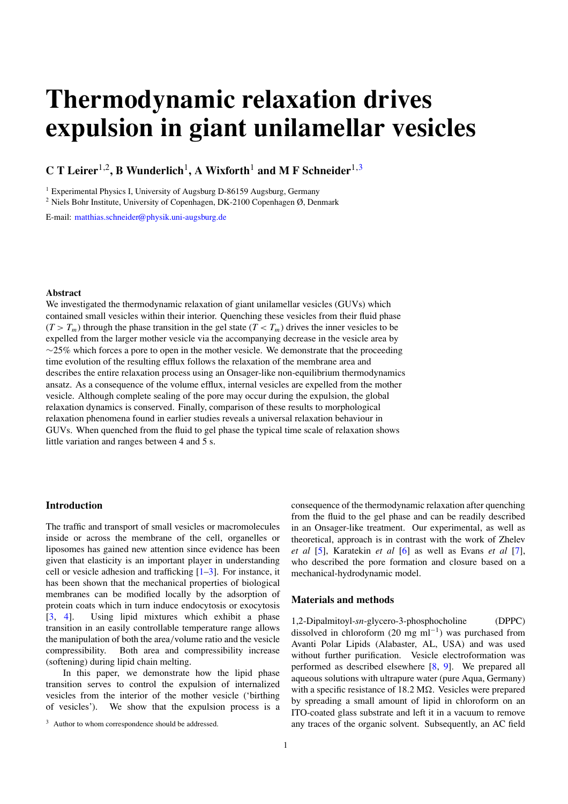# **Thermodynamic relaxation drives expulsion in giant unilamellar vesicles**

**C T Leirer** 1,2 **, B Wunderlich** 1 **, A Wixforth** <sup>1</sup> **and M F Schneider** 1,3

<sup>1</sup> Experimental Physics I, University of Augsburg D-86159 Augsburg, Germany

<sup>2</sup> Niels Bohr Institute, University of Copenhagen, DK-2100 Copenhagen Ø, Denmark

E-mail: [matthias.schneider@physik.uni-augsburg.de](mailto:matthias.schneider@physik.uni-augsburg.de)

## **Abstract**

We investigated the thermodynamic relaxation of giant unilamellar vesicles (GUVs) which contained small vesicles within their interior. Quenching these vesicles from their fluid phase  $(T > T_m)$  through the phase transition in the gel state  $(T < T_m)$  drives the inner vesicles to be expelled from the larger mother vesicle via the accompanying decrease in the vesicle area by  $\sim$ 25% which forces a pore to open in the mother vesicle. We demonstrate that the proceeding time evolution of the resulting efflux follows the relaxation of the membrane area and describes the entire relaxation process using an Onsager-like non-equilibrium thermodynamics ansatz. As a consequence of the volume efflux, internal vesicles are expelled from the mother vesicle. Although complete sealing of the pore may occur during the expulsion, the global relaxation dynamics is conserved. Finally, comparison of these results to morphological relaxation phenomena found in earlier studies reveals a universal relaxation behaviour in GUVs. When quenched from the fluid to gel phase the typical time scale of relaxation shows little variation and ranges between 4 and 5 s.

# **Introduction**

The traffic and transport of small vesicles or macromolecules inside or across the membrane of the cell, organelles or liposomes has gained new attention since evidence has been given that elasticity is an important player in understanding cell or vesicle adhesion and trafficking [\[1–3\]](#page-3-0). For instance, it has been shown that the mechanical properties of biological membranes can be modified locally by the adsorption of protein coats which in turn induce endocytosis or exocytosis [\[3](#page-3-0), [4](#page-3-0)]. Using lipid mixtures which exhibit a phase transition in an easily controllable temperature range allows the manipulation of both the area*/*volume ratio and the vesicle compressibility. Both area and compressibility increase (softening) during lipid chain melting.

In this paper, we demonstrate how the lipid phase transition serves to control the expulsion of internalized vesicles from the interior of the mother vesicle ('birthing of vesicles'). We show that the expulsion process is a

consequence of the thermodynamic relaxation after quenching from the fluid to the gel phase and can be readily described in an Onsager-like treatment. Our experimental, as well as theoretical, approach is in contrast with the work of Zhelev *et al* [\[5](#page-3-0)], Karatekin *et al* [\[6](#page-3-0)] as well as Evans *et al* [\[7](#page-3-0)], who described the pore formation and closure based on a mechanical-hydrodynamic model.

# **Materials and methods**

1,2-Dipalmitoyl-*sn*-glycero-3-phosphocholine (DPPC) dissolved in chloroform  $(20 \text{ mg ml}^{-1})$  was purchased from Avanti Polar Lipids (Alabaster, AL, USA) and was used without further purification. Vesicle electroformation was performed as described elsewhere [\[8,](#page-3-0) [9\]](#page-3-0). We prepared all aqueous solutions with ultrapure water (pure Aqua, Germany) with a specific resistance of 18.2 MΩ. Vesicles were prepared by spreading a small amount of lipid in chloroform on an ITO-coated glass substrate and left it in a vacuum to remove any traces of the organic solvent. Subsequently, an AC field

<sup>&</sup>lt;sup>3</sup> Author to whom correspondence should be addressed.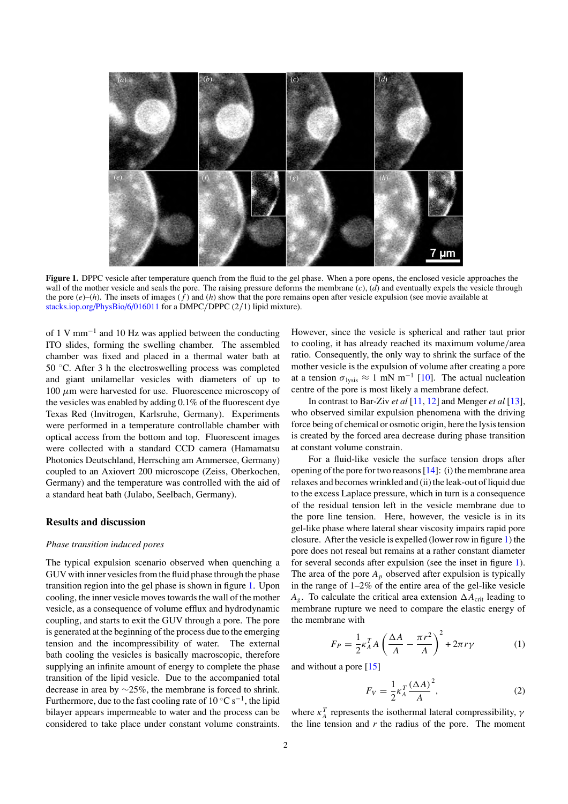

**Figure 1.** DPPC vesicle after temperature quench from the fluid to the gel phase. When a pore opens, the enclosed vesicle approaches the wall of the mother vesicle and seals the pore. The raising pressure deforms the membrane (*c*), (*d*) and eventually expels the vesicle through the pore  $(e)$ –(*h*). The insets of images  $(f)$  and (*h*) show that the pore remains open after vesicle expulsion (see movie available at [stacks.iop.org/PhysBio/6/016011](http://stacks.iop.org/PhysBio/6/016011) for a DMPC*/*DPPC (2*/*1) lipid mixture).

of 1 V mm−<sup>1</sup> and 10 Hz was applied between the conducting ITO slides, forming the swelling chamber. The assembled chamber was fixed and placed in a thermal water bath at 50 ◦C. After 3 h the electroswelling process was completed and giant unilamellar vesicles with diameters of up to 100 *μ*m were harvested for use. Fluorescence microscopy of the vesicles was enabled by adding 0.1% of the fluorescent dye Texas Red (Invitrogen, Karlsruhe, Germany). Experiments were performed in a temperature controllable chamber with optical access from the bottom and top. Fluorescent images were collected with a standard CCD camera (Hamamatsu Photonics Deutschland, Herrsching am Ammersee, Germany) coupled to an Axiovert 200 microscope (Zeiss, Oberkochen, Germany) and the temperature was controlled with the aid of a standard heat bath (Julabo, Seelbach, Germany).

#### **Results and discussion**

#### *Phase transition induced pores*

The typical expulsion scenario observed when quenching a GUV with inner vesicles from the fluid phase through the phase transition region into the gel phase is shown in figure 1. Upon cooling, the inner vesicle moves towards the wall of the mother vesicle, as a consequence of volume efflux and hydrodynamic coupling, and starts to exit the GUV through a pore. The pore is generated at the beginning of the process due to the emerging tension and the incompressibility of water. The external bath cooling the vesicles is basically macroscopic, therefore supplying an infinite amount of energy to complete the phase transition of the lipid vesicle. Due to the accompanied total decrease in area by ∼25%, the membrane is forced to shrink. Furthermore, due to the fast cooling rate of  $10^{\circ}$ C s<sup>-1</sup>, the lipid bilayer appears impermeable to water and the process can be considered to take place under constant volume constraints.

However, since the vesicle is spherical and rather taut prior to cooling, it has already reached its maximum volume*/*area ratio. Consequently, the only way to shrink the surface of the mother vesicle is the expulsion of volume after creating a pore at a tension  $\sigma_{\text{lysis}} \approx 1 \text{ mN m}^{-1}$  [\[10\]](#page-3-0). The actual nucleation centre of the pore is most likely a membrane defect.

In contrast to Bar-Ziv *et al* [\[11](#page-3-0), [12](#page-3-0)] and Menger *et al* [\[13](#page-3-0)], who observed similar expulsion phenomena with the driving force being of chemical or osmotic origin, here the lysistension is created by the forced area decrease during phase transition at constant volume constrain.

For a fluid-like vesicle the surface tension drops after opening of the pore for two reasons  $[14]$  $[14]$ : (i) the membrane area relaxes and becomes wrinkled and (ii) the leak-out of liquid due to the excess Laplace pressure, which in turn is a consequence of the residual tension left in the vesicle membrane due to the pore line tension. Here, however, the vesicle is in its gel-like phase where lateral shear viscosity impairs rapid pore closure. After the vesicle is expelled (lower row in figure 1) the pore does not reseal but remains at a rather constant diameter for several seconds after expulsion (see the inset in figure 1). The area of the pore  $A_p$  observed after expulsion is typically in the range of 1–2% of the entire area of the gel-like vesicle  $A_g$ . To calculate the critical area extension  $\Delta A_{\text{crit}}$  leading to membrane rupture we need to compare the elastic energy of the membrane with

$$
F_P = \frac{1}{2} \kappa_A^T A \left( \frac{\Delta A}{A} - \frac{\pi r^2}{A} \right)^2 + 2\pi r \gamma \tag{1}
$$

and without a pore [\[15](#page-3-0)]

$$
F_V = \frac{1}{2} \kappa_A^T \frac{(\Delta A)^2}{A},\tag{2}
$$

where  $\kappa_A^T$  represents the isothermal lateral compressibility,  $\gamma$ the line tension and  $r$  the radius of the pore. The moment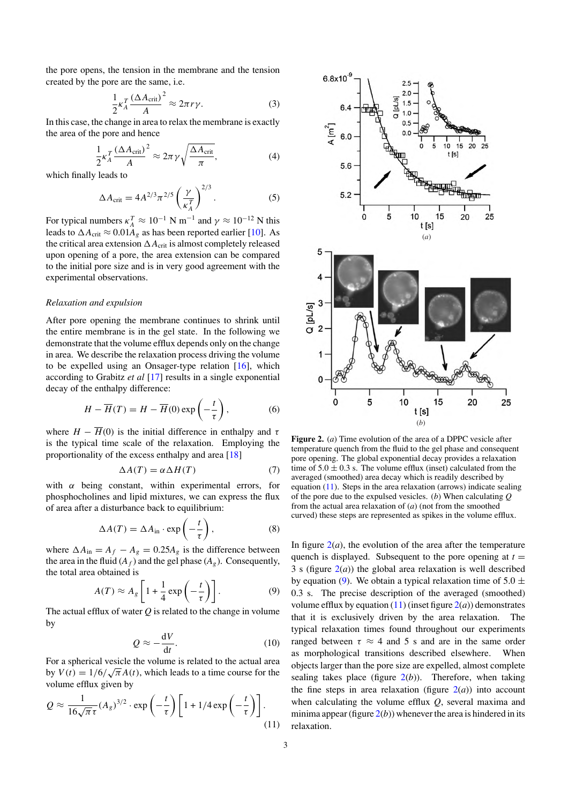<span id="page-2-0"></span>the pore opens, the tension in the membrane and the tension created by the pore are the same, i.e.

$$
\frac{1}{2} \kappa_A^T \frac{\left(\Delta A_{\rm crit}\right)^2}{A} \approx 2\pi r \gamma. \tag{3}
$$

In this case, the change in area to relax the membrane is exactly the area of the pore and hence

$$
\frac{1}{2} \kappa_A^T \frac{\left(\Delta A_{\rm crit}\right)^2}{A} \approx 2\pi \gamma \sqrt{\frac{\Delta A_{\rm crit}}{\pi}},\tag{4}
$$

which finally leads to

$$
\Delta A_{\rm crit} = 4A^{2/3}\pi^{2/5} \left(\frac{\gamma}{\kappa_A^T}\right)^{2/3}.\tag{5}
$$

For typical numbers  $\kappa_A^T \approx 10^{-1}$  N m<sup>-1</sup> and  $\gamma \approx 10^{-12}$  N this leads to  $\Delta A_{\text{crit}} \approx 0.01 A_g$  as has been reported earlier [\[10\]](#page-3-0). As the critical area extension  $\Delta A_{\rm crit}$  is almost completely released upon opening of a pore, the area extension can be compared to the initial pore size and is in very good agreement with the experimental observations.

## *Relaxation and expulsion*

After pore opening the membrane continues to shrink until the entire membrane is in the gel state. In the following we demonstrate that the volume efflux depends only on the change in area. We describe the relaxation process driving the volume to be expelled using an Onsager-type relation [\[16](#page-3-0)], which according to Grabitz *et al* [\[17](#page-3-0)] results in a single exponential decay of the enthalpy difference:

$$
H - \overline{H}(T) = H - \overline{H}(0) \exp\left(-\frac{t}{\tau}\right),\tag{6}
$$

where  $H - \overline{H}(0)$  is the initial difference in enthalpy and  $\tau$ is the typical time scale of the relaxation. Employing the proportionality of the excess enthalpy and area [\[18](#page-3-0)]

$$
\Delta A(T) = \alpha \Delta H(T) \tag{7}
$$

with *α* being constant, within experimental errors, for phosphocholines and lipid mixtures, we can express the flux of area after a disturbance back to equilibrium:

$$
\Delta A(T) = \Delta A_{\rm in} \cdot \exp\left(-\frac{t}{\tau}\right),\tag{8}
$$

where  $\Delta A_{\text{in}} = A_f - A_g = 0.25 A_g$  is the difference between the area in the fluid  $(A_f)$  and the gel phase  $(A_g)$ . Consequently, the total area obtained is

$$
A(T) \approx A_g \left[ 1 + \frac{1}{4} \exp\left(-\frac{t}{\tau}\right) \right].
$$
 (9)

The actual efflux of water *Q* is related to the change in volume by

$$
Q \approx -\frac{\mathrm{d}V}{\mathrm{d}t}.\tag{10}
$$

For a spherical vesicle the volume is related to the actual area by  $V(t) = 1/6/\sqrt{\pi}A(t)$ , which leads to a time course for the volume efflux given by

$$
Q \approx \frac{1}{16\sqrt{\pi}\tau} (A_g)^{3/2} \cdot \exp\left(-\frac{t}{\tau}\right) \left[1 + 1/4 \exp\left(-\frac{t}{\tau}\right)\right].
$$
\n(11)



**Figure 2.** (*a*) Time evolution of the area of a DPPC vesicle after temperature quench from the fluid to the gel phase and consequent pore opening. The global exponential decay provides a relaxation time of  $5.0 \pm 0.3$  s. The volume efflux (inset) calculated from the averaged (smoothed) area decay which is readily described by equation (11). Steps in the area relaxation (arrows) indicate sealing of the pore due to the expulsed vesicles. (*b*) When calculating *Q* from the actual area relaxation of (*a*) (not from the smoothed curved) these steps are represented as spikes in the volume efflux.

In figure  $2(a)$ , the evolution of the area after the temperature quench is displayed. Subsequent to the pore opening at  $t =$ 3 s (figure  $2(a)$ ) the global area relaxation is well described by equation (9). We obtain a typical relaxation time of  $5.0 \pm$ 0.3 s. The precise description of the averaged (smoothed) volume efflux by equation  $(11)$  (inset figure  $2(a)$ ) demonstrates that it is exclusively driven by the area relaxation. The typical relaxation times found throughout our experiments ranged between  $\tau \approx 4$  and 5 s and are in the same order as morphological transitions described elsewhere. When objects larger than the pore size are expelled, almost complete sealing takes place (figure  $2(b)$ ). Therefore, when taking the fine steps in area relaxation (figure  $2(a)$ ) into account when calculating the volume efflux *Q*, several maxima and minima appear (figure  $2(b)$ ) whenever the area is hindered in its relaxation.